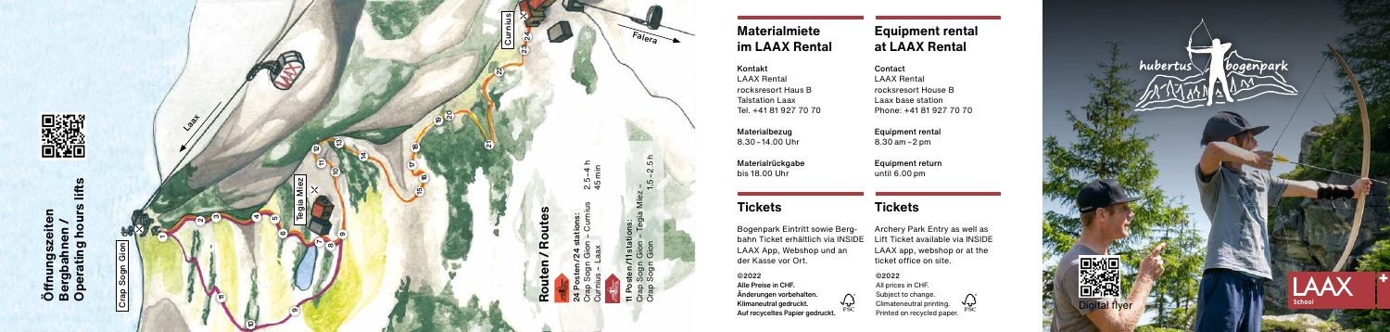

Kontakt Contact rocksresort Haus B rocksresort House B Talstation Laax 120 Laax base station<br>Tel. +41 81 927 70 70 Phone: +41 81 927

8.30 $-14.00$  Uhr

# **Materialmiete Equipment rental im LAAX Rental at LAAX Rental**

LAAX Rental Phone: +41 81 927 70 70

Materialrückgabe Equipment return until 6.00 pm

Bogenpark Eintritt sowie Berg- Archery Park Entry as well as bahn Ticket erhältlich via INSIDE Lift Ticket available via INSIDE LAAX App, Webshop und an LAAX app, webshop or at the der Kasse vor Ort. ticket office on site.

Materialbezug Equipment rental

# **Tickets Tickets**

4ເດ

ຕ

#### ©2022

Alle Preise in CHF. Änderungen vorbehalten. Klimaneutral gedruckt. Auf recyceltes Papier gedruckt.

#### ©2022

 $\bigwedge_{\mathrm{rsc}}$ 

All prices in CHF. Subject to change. Climateneutral printing. Printed on recycled paper.

 $\sqrt{2}$ 

Tegia Miez

ဖ

თ

ఴ

Crap Sogn Gion

**La**at

ุ่ ო

 $\mathbf -$ 

11

10

10

თ œ ~

얻  $\mathbf{r}$ 



 $F_{\bm{\theta}}$ lera



Curnius

 $\approx$ 

ត

ន ღ

14

24

**Routen / Routes**

 $\tilde{r}$ 

 $\overline{5}$ 

 $\alpha$ 

24 Posten/24 stations:

Crap Sogn Gion – Curnius 2.5 – 4 h Curnius – Laax 45 min

ي ښ  $\alpha$   $\frac{1}{2}$  11 Posten /11 stations: Crap Sogn Gion – Tegia Miez – Crap Sogn Gion 1.5 – 2.5 h

11 stat<br>Gion<br>Gion  $\frac{1}{5}$   $\frac{5}{3}$   $\frac{5}{3}$